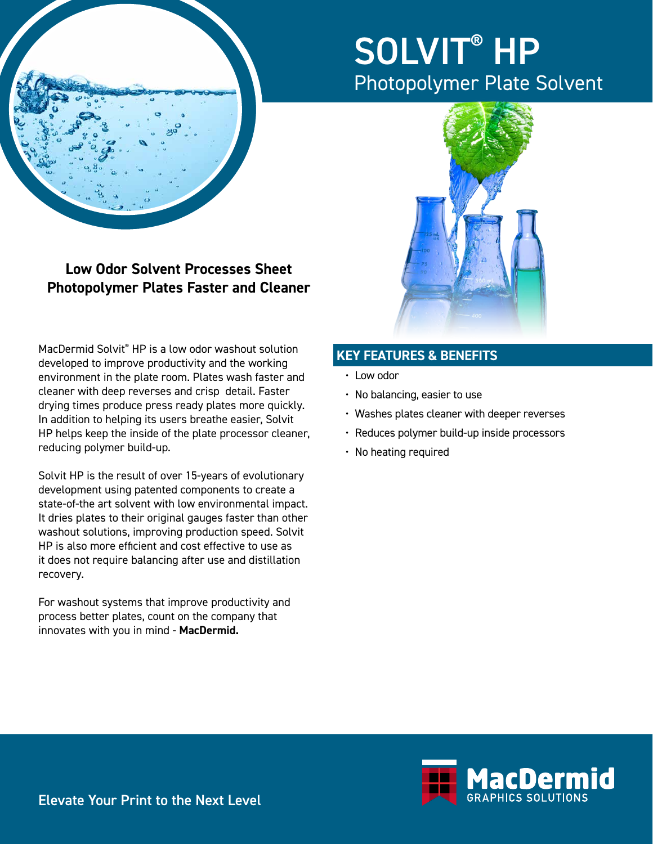

# SOLVIT<sup>®</sup> HP Photopolymer Plate Solvent



**Low Odor Solvent Processes Sheet Photopolymer Plates Faster and Cleaner**

MacDermid Solvit® HP is a low odor washout solution developed to improve productivity and the working environment in the plate room. Plates wash faster and cleaner with deep reverses and crisp detail. Faster drying times produce press ready plates more quickly. In addition to helping its users breathe easier, Solvit HP helps keep the inside of the plate processor cleaner, reducing polymer build-up.

Solvit HP is the result of over 15-years of evolutionary development using patented components to create a state-of-the art solvent with low environmental impact. It dries plates to their original gauges faster than other washout solutions, improving production speed. Solvit HP is also more efficient and cost effective to use as it does not require balancing after use and distillation recovery.

For washout systems that improve productivity and process better plates, count on the company that innovates with you in mind - **MacDermid.**

## **KEY FEATURES & BENEFITS**

- Low odor
- No balancing, easier to use
- Washes plates cleaner with deeper reverses
- Reduces polymer build-up inside processors
- No heating required



Elevate Your Print to the Next Level